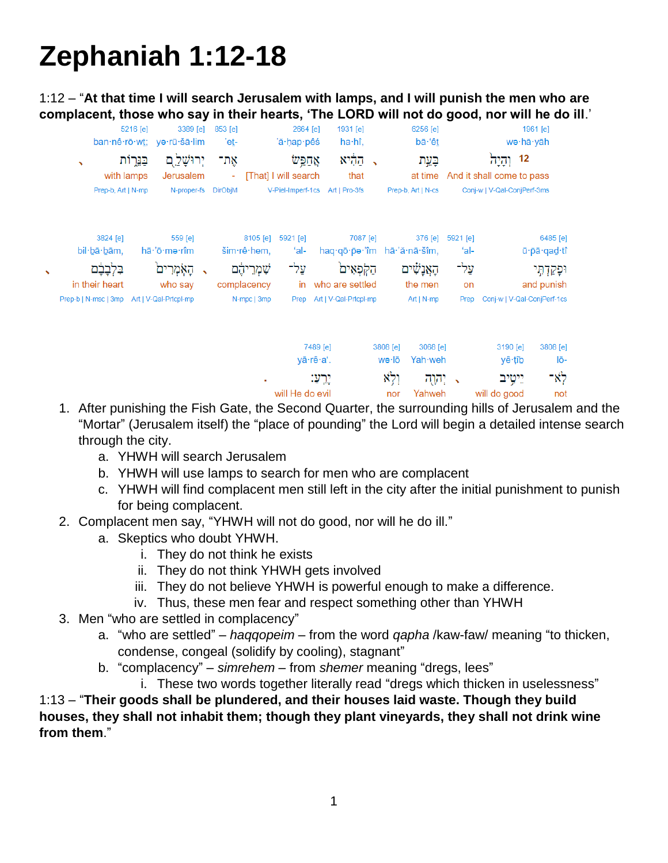# **Zephaniah 1:12-18**

1:12 – "**At that time I will search Jerusalem with lamps, and I will punish the men who are complacent, those who say in their hearts, 'The LORD will not do good, nor will he do ill**.'

|   |                                                                                                        | 5216 [e]    | 3389 [e]<br>ban·nê·rō·wt; ye·rū·šā·lim                            | 853 [e]<br>'e <u>t</u> - |                                                                                       | 2664 [e]<br>'ă·ḥap·pêś                 | 1931 [e]<br>ha·hî,                                                                                                     |               |                                   | 6256 [e]<br>bā·'êt                              |                                        |                                                                        | 1961 [e]<br>wə∙hā∙yāh |                                                             |
|---|--------------------------------------------------------------------------------------------------------|-------------|-------------------------------------------------------------------|--------------------------|---------------------------------------------------------------------------------------|----------------------------------------|------------------------------------------------------------------------------------------------------------------------|---------------|-----------------------------------|-------------------------------------------------|----------------------------------------|------------------------------------------------------------------------|-----------------------|-------------------------------------------------------------|
|   | $\overline{\phantom{a}}$<br>with lamps<br>Prep-b, Art   N-mp                                           | בַּנֵּרְוֹת | יְרוּשָׁלַ ְם<br>Jerusalem<br>N-proper-fs DirObjM                 | אַת־<br>$\sim$           |                                                                                       | אַחַפֵּש<br>[That] I will search       | קַהָּיא<br>that<br>V-Piel-Imperf-1cs Art   Pro-3fs                                                                     | $\rightarrow$ |                                   | בַּעֲת<br>at time<br>Prep-b, Art   N-cs         |                                        | 12 וְהָיָה<br>And it shall come to pass<br>Conj-w   V-Qal-ConjPerf-3ms |                       |                                                             |
| ↖ | 3824 [e]<br>bil·bā·bām,<br>בִּלְבָבָׁם<br>in their heart<br>Prep-b   N-msc   3mp Art   V-Qal-Prtcpl-mp |             | 559 [e]<br>hā·'ō·mə·rîm<br>הָאָמְרִים<br>$\rightarrow$<br>who say |                          | 8105 [e]<br>$\sin r \cdot \hat{e}$ hem,<br>ֹשִׁמְרֵיהֶם<br>complacency<br>N-mpc   3mp | 5921 [e]<br>'al-<br>עַל־<br>in<br>Prep | 7087 [e]<br>haq $q\bar{q}$ -pə- $m$ hā- $a\bar{q}$ -nā-šîm,<br>הַקְּתָאִים<br>who are settled<br>Art   V-Qal-Prtcpl-mp |               |                                   | 376 [e]<br>הָאֲנָשִׁים<br>the men<br>Art   N-mp | 5921 [e]<br>ʻal-<br>עַל־<br>on<br>Prep | Conj-w   V-Qal-ConjPerf-1cs                                            |                       | 6485 [e]<br>ū · pā · qad · tî<br>וּפָקַדְתִּי<br>and punish |
|   |                                                                                                        |             |                                                                   |                          | ٠                                                                                     | yā·rê·a'.<br>will He do evil           | 7489 [e]<br>יֵרְעָ:                                                                                                    |               | 3808 [e]<br>wə∙lō<br>וְלָא<br>nor | 3068 [e]<br>Yah weh<br>יְהָוֻה<br>Yahweh        | $\rightarrow$                          | 3190 [e]<br>yê∙tîb<br>יִיטֳיב<br>will do good                          |                       | 3808 [e]<br>lō-<br>לא־<br>not                               |

- 1. After punishing the Fish Gate, the Second Quarter, the surrounding hills of Jerusalem and the "Mortar" (Jerusalem itself) the "place of pounding" the Lord will begin a detailed intense search through the city.
	- a. YHWH will search Jerusalem
	- b. YHWH will use lamps to search for men who are complacent
	- c. YHWH will find complacent men still left in the city after the initial punishment to punish for being complacent.
- 2. Complacent men say, "YHWH will not do good, nor will he do ill."
	- a. Skeptics who doubt YHWH.
		- i. They do not think he exists
		- ii. They do not think YHWH gets involved
		- iii. They do not believe YHWH is powerful enough to make a difference.
		- iv. Thus, these men fear and respect something other than YHWH
- 3. Men "who are settled in complacency"
	- a. "who are settled" *haqqopeim* from the word *qapha* /kaw-faw/ meaning "to thicken, condense, congeal (solidify by cooling), stagnant"
	- b. "complacency" *simrehem* from *shemer* meaning "dregs, lees"
		- i. These two words together literally read "dregs which thicken in uselessness"

1:13 – "**Their goods shall be plundered, and their houses laid waste. Though they build houses, they shall not inhabit them; though they plant vineyards, they shall not drink wine from them**."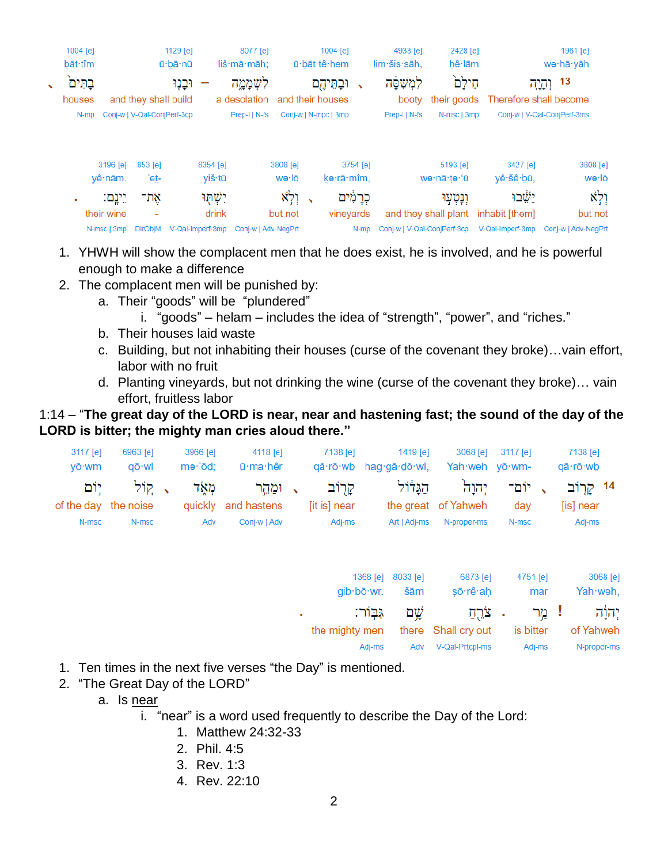|              | 1004 [e] |             |                             | 1129 $[e]$       |          | 8077 [e]            |          |                          | 1004 [e]             |          | 4933 [e]                    | 2428 [e]             |                        | 1961 [e]                    |
|--------------|----------|-------------|-----------------------------|------------------|----------|---------------------|----------|--------------------------|----------------------|----------|-----------------------------|----------------------|------------------------|-----------------------------|
|              | bāt tîm  |             |                             | ū·bā·nū          |          | liš·mā·māh;         |          |                          | ū·bāt·tê·hem         |          | lim šis sāh,                | hê lām               |                        | we·hā·yāh                   |
| $\checkmark$ | בתים     |             |                             | וּבָנָוּ         |          | לשְׁמָמֶה           |          |                          | וּבְחֵיהֶם           |          | לִמְשָׁפָּה                 | חֵילַם               |                        | 13<br>וְהָיָה               |
|              | houses   |             | and they shall build        |                  |          | a desolation        |          |                          | and their houses     |          | booty                       | their goods          | Therefore shall become |                             |
|              | N-mp     |             | Coni-w   V-Qal-ConiPerf-3cp |                  |          | Prep-IIN-fs         |          |                          | Conj-w   N-mpc   3mp |          | Prep-I   N-fs               | N-msc   3mp          |                        | Conj-w   V-Qal-ConjPerf-3ms |
|              |          | 3196 [e]    | 853 [e]                     |                  | 8354 [e] |                     | 3808 [e] |                          |                      | 3754 [e] |                             | 5193 [e]             | 3427 [e]               | 3808 [e]                    |
|              |          | yê∙nām.     | 'et-                        |                  | viš∙tū   |                     | wə∙lō    |                          | kə·rā·mîm.           |          |                             | wə·nā·ţə·'ū          | yê šê bū,              | wə∙lō                       |
|              | ٠        | יֵינֵם:     | אָת־                        |                  | ישתו     |                     | וְלְא    | $\overline{\phantom{a}}$ | כִרַמִּים            |          |                             | וִנְטְעַוּ           | ישׂבו                  | ולא                         |
|              |          | their wine  | $\overline{\phantom{a}}$    |                  | drink    |                     | but not  |                          | vineyards            |          |                             | and they shall plant | inhabit [them]         | but not                     |
|              |          | N-msc   3mp | <b>DirObiM</b>              | V-Qal-Imperf-3mp |          | Coni-w   Adv-NegPrt |          |                          |                      | N-mp     | Coni-w   V-Qal-ConiPerf-3cp |                      | V-Qal-Imperf-3mp       | Conj-w   Adv-NegPrl         |
|              |          |             |                             |                  |          |                     |          |                          |                      |          |                             |                      |                        |                             |

- 1. YHWH will show the complacent men that he does exist, he is involved, and he is powerful enough to make a difference
- 2. The complacent men will be punished by:
	- a. Their "goods" will be "plundered"
		- i. "goods" helam includes the idea of "strength", "power", and "riches."
	- b. Their houses laid waste
	- c. Building, but not inhabiting their houses (curse of the covenant they broke)…vain effort, labor with no fruit
	- d. Planting vineyards, but not drinking the wine (curse of the covenant they broke)… vain effort, fruitless labor

# 1:14 – "**The great day of the LORD is near, near and hastening fast; the sound of the day of the LORD is bitter; the mighty man cries aloud there."**

| $3117$ [e]<br>vō·wm  | 6963 [e]<br>aō·wl | 3966 [e]<br>$me$ $\ddot{o}$ d: | 4118 [e]<br>ū∙ma∙hêr | 7138 [e]     | 1419 [e]<br>qā·rō·wb hag·gā·dō·wl,                                             | Yah·weh vō·wm-      | 3068 [e] 3117 [e] | 7138 [e]<br>qā∙rō∙wb |
|----------------------|-------------------|--------------------------------|----------------------|--------------|--------------------------------------------------------------------------------|---------------------|-------------------|----------------------|
|                      |                   |                                |                      |              |                                                                                |                     |                   |                      |
|                      | קול יום $\sim$    |                                |                      |              | 14 קרוב <sub>א</sub> יום־ יְהוַה הַגַּדּוֹל קַרִוֹב <sub>א</sub> וּמַהֵר מְאָד |                     |                   |                      |
| of the day the noise |                   |                                | quickly and hastens  | [it is] near |                                                                                | the great of Yahweh | dav               | [is] near            |
| N-msc                | N-msc             | Adv                            | Coni-w   Adv         | Adi-ms       | Art   Adi-ms                                                                   | N-proper-ms         | N-msc             | Adi-ms               |

|   | 1368 [e]<br>$g$ ib $b\bar{o}$ wr. | 8033 [e]<br>šām | 6873 [e]<br>şō∙rê∙ah | 4751 [e]<br>mar | 3068 [e]<br>Yah weh, |
|---|-----------------------------------|-----------------|----------------------|-----------------|----------------------|
| ٠ | גבור:                             | שם $\omega$     |                      | ! מֵר צֹרֵתַ    | יהוה                 |
|   | the mighty men                    |                 | there Shall cry out  | is bitter       | of Yahweh            |
|   | Adi-ms                            | Adv             | V-Qal-Prtcpl-ms      | Adj-ms          | N-proper-ms          |

- 1. Ten times in the next five verses "the Day" is mentioned.
- 2. "The Great Day of the LORD"
	- a. Is near
		- i. "near" is a word used frequently to describe the Day of the Lord:
			- 1. Matthew 24:32-33
			- 2. Phil. 4:5
			- 3. Rev. 1:3
			- 4. Rev. 22:10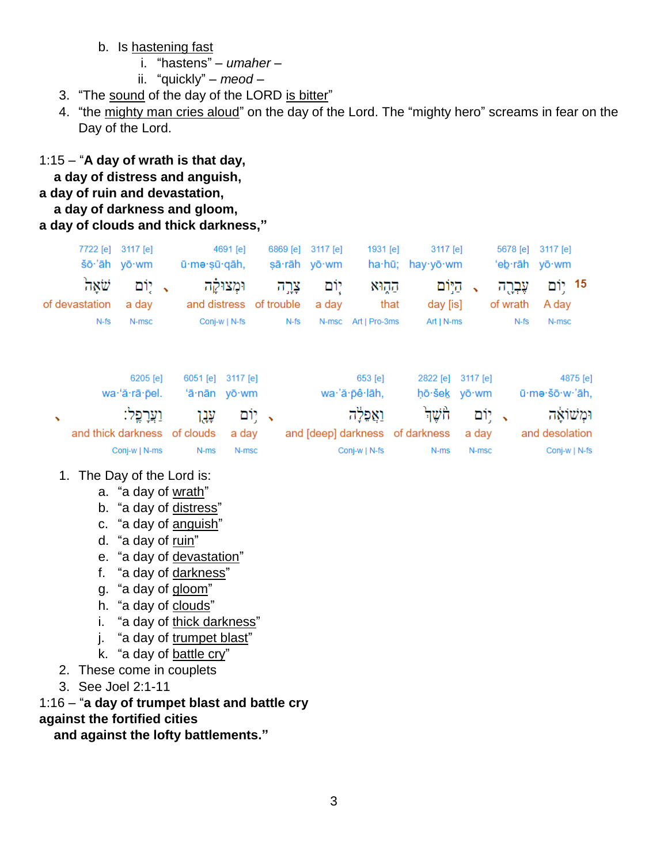b. Is hastening fast

- i. "hastens"  $umaher$  -
- ii. "quickly"  $meod$  –
- 3. "The sound of the day of the LORD is bitter"
- 4. "the mighty man cries aloud" on the day of the Lord. The "mighty hero" screams in fear on the Day of the Lord.

1:15 - "A day of wrath is that day,

a day of distress and anguish,

# a day of ruin and devastation,

# a day of darkness and gloom,

#### a day of clouds and thick darkness,"

|          | 5678 [e] 3117 [e] |                      |        | 3117 [e]          | 1931 [e]                        | 6869 [e] 3117 [e] |       | 4691 [e]                              |                              | 7722 [e] 3117 [e] |                        |   |
|----------|-------------------|----------------------|--------|-------------------|---------------------------------|-------------------|-------|---------------------------------------|------------------------------|-------------------|------------------------|---|
|          | 'eb·rāh yō·wm     |                      |        | ha·hū; hay·yō·wm  |                                 | sā·rāh yō·wm      |       |                                       | ū·mə·şū·qāh,                 | šō·'āh yō·wm      |                        |   |
|          | 15 יִוֹם<br>A day | עֶּבְרֶה<br>of wrath |        | היום<br>day [is]  | הקוא<br>that                    | יוֹם<br>a day     | צַרֶה | וּמְצוּקַה<br>and distress of trouble |                              | ּיִוֹם<br>a day   | שׁאה<br>of devastation |   |
|          | N-msc             | N-fs                 |        | $Art   N-ms$      | N-msc Art   Pro-3ms             |                   | N-fs  | Conj-w   N-fs                         |                              | N-msc             | $N-fs$                 |   |
|          |                   |                      |        |                   |                                 |                   |       |                                       |                              |                   |                        |   |
| 4875 [e] |                   |                      |        | 2822 [e] 3117 [e] | 653 [e]                         |                   |       | 3117 [e]                              | $6051$ [e]                   | 6205 [e]          |                        |   |
|          | ū·mə·šō·w·'āh,    |                      |        | hō·šek yō·wm      | wa·'ă·pê·lāh,                   |                   |       |                                       | 'ā·nān yō·wm                 | wa·'ă·rā·pel.     |                        |   |
|          | ומשואה            |                      | ּיִוֹם | ਜਿੰਘੁਜੰ           | וַאֲפַלָה                       |                   |       | ּיִוֹם,                               | עֲנו                         | וַעֲרָפֵל:        |                        | ↖ |
|          | and desolation    |                      | a day  |                   | and [deep] darkness of darkness |                   |       | a day                                 | and thick darkness of clouds |                   |                        |   |
|          | Conj-w   N-fs     |                      | N-msc  | N-ms              | Conj-w   N-fs                   |                   |       | N-msc                                 | N-ms                         | Conj-w   N-ms     |                        |   |

## 1. The Day of the Lord is:

- a. "a day of wrath"
- b. "a day of distress"
- c. "a day of anguish"
- d. "a day of ruin"
- e. "a day of devastation"
- f. "a day of darkness"
- g. "a day of gloom"
- h. "a day of clouds"
- i. "a day of thick darkness"
- j. "a day of trumpet blast"
- k. "a day of battle cry"
- 2. These come in couplets
- 3. See Joel 2:1-11

1:16 - "a day of trumpet blast and battle cry

## against the fortified cities

and against the lofty battlements."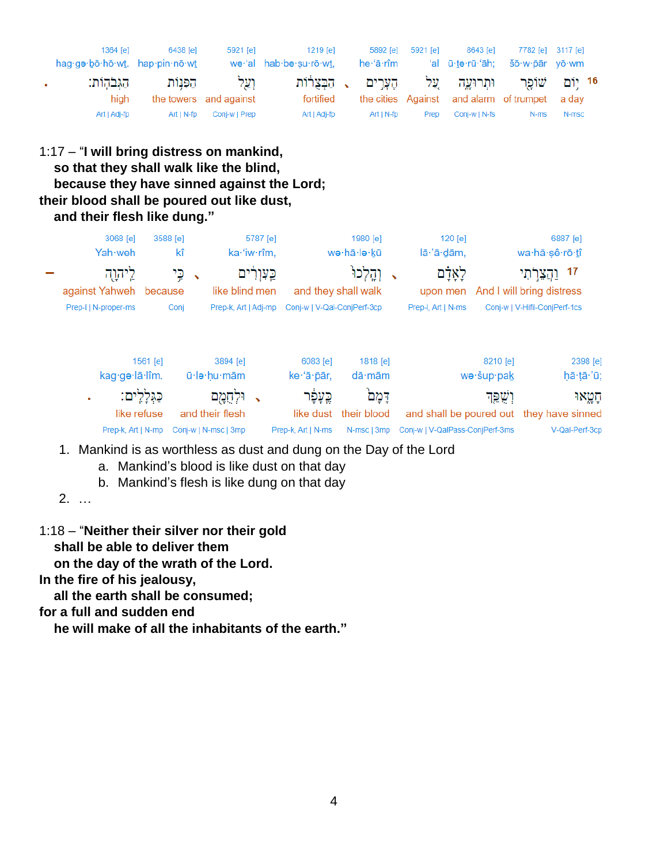| 1364 [e]<br>hag.ge.bo.ho.wt. hap.pin.no.wt | 6438 [e]   | 5921 [e]               | 1219 [e]<br>wə·'al hab·bə·su·rō·wt, | 5892 [e]<br>he 'ā rîm | 5921 [e]    | 8643 [e]<br>'al ū·tə·rū·'āh:                          | 7782 [e] 3117 [e]<br>šō·w·pār vō·wm |       |  |
|--------------------------------------------|------------|------------------------|-------------------------------------|-----------------------|-------------|-------------------------------------------------------|-------------------------------------|-------|--|
| הגבהות:                                    | הפנות      | וַעַל                  |                                     |                       |             | 16 יוֹם שׁוֹפַר וּתִרוּעֲה עֲל הֶעֲרִים , הַבְּצְרוֹת |                                     |       |  |
| hiah                                       |            | the towers and against | fortified                           |                       |             | the cities Against and alarm of trumpet a day         |                                     |       |  |
| Art   Adj-fp                               | Art I N-fp | Coni-w   Prep          | Art   Adj-fp                        | $Art   N-fp$          | <b>Prep</b> | Conj-w   N-fs                                         | N-ms                                | N-msc |  |

# 1:17 – "**I will bring distress on mankind, so that they shall walk like the blind, because they have sinned against the Lord; their blood shall be poured out like dust, and their flesh like dung."**

| 3068 [e]<br>Yah weh                    | 3588 [e]    | kî                                                   | 5787 [e]<br>ka·'iw·rîm, |                                            | 1980 [e]<br>wə∙hā∙lə∙kū           | 120 [e]<br>lā·'ā·dām,           |                        | 6887 [e]<br>wa·hă·șê·rō·tî                                         |
|----------------------------------------|-------------|------------------------------------------------------|-------------------------|--------------------------------------------|-----------------------------------|---------------------------------|------------------------|--------------------------------------------------------------------|
| ליהוה<br>against Yahweh because        |             | כֵי<br>$\rightarrow$<br>like blind men               | כֵּעָוְרֹים             |                                            | and they shall walk               | לְאָדָם<br>upon men             |                        | 17<br>And I will bring distress                                    |
| Prep-I   N-proper-ms                   | Conj        | Prep-k, Art   Adj-mp                                 |                         | Conj-w   V-Qal-ConjPerf-3cp                |                                   | Prep-I, Art   N-ms              |                        | Conj-w   V-Hifil-ConjPerf-1cs                                      |
| kag∙gə·lā·lîm.                         | 1561 [e]    | 3894 [e]<br>ū·le·hu·mām                              |                         | 6083 [e]<br>ke 'ā pār,                     | 1818 [e]<br>$d\bar{a}$ ·mām       |                                 | 8210 [e]<br>wə·šup·pak | 2398 [e]<br>hā tā 'ū;                                              |
| ٠<br>like refuse<br>Prep-k, Art   N-mp | כַּגְלַיִם: | וּלִחְמַם<br>and their flesh<br>Conj-w   N-msc   3mp |                         | כֱעָפָו<br>like dust<br>Prep-k, Art   N-ms | דמם<br>their blood<br>N-msc   3mp | Conj-w   V-QalPass-ConjPerf-3ms | וְשֶׁפְּךָ             | חטאו<br>and shall be poured out they have sinned<br>V-Qal-Perf-3cp |

- 1. Mankind is as worthless as dust and dung on the Day of the Lord
	- a. Mankind's blood is like dust on that day
	- b. Mankind's flesh is like dung on that day
- 2. …
- 1:18 "**Neither their silver nor their gold shall be able to deliver them on the day of the wrath of the Lord.**

**In the fire of his jealousy,**

 **all the earth shall be consumed;**

**for a full and sudden end**

 **he will make of all the inhabitants of the earth."**